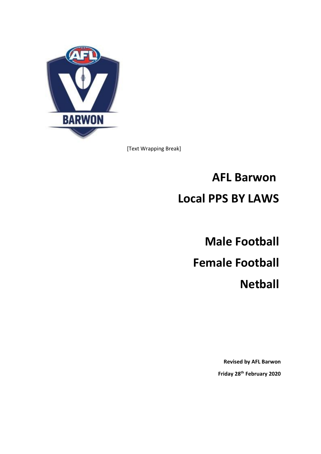

[Text Wrapping Break]

# **AFL Barwon Local PPS BY LAWS**

**Male Football Female Football Netball**

> **Revised by AFL Barwon Friday 28th February 2020**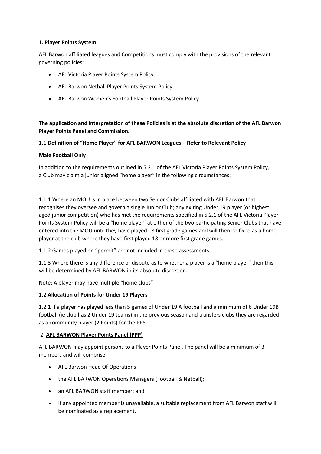# 1**. Player Points System**

AFL Barwon affiliated leagues and Competitions must comply with the provisions of the relevant governing policies:

- AFL Victoria Player Points System Policy.
- AFL Barwon Netball Player Points System Policy
- AFL Barwon Women's Football Player Points System Policy

**The application and interpretation of these Policies is at the absolute discretion of the AFL Barwon Player Points Panel and Commission.**

# 1.1 **Definition of "Home Player" for AFL BARWON Leagues – Refer to Relevant Policy**

# **Male Football Only**

In addition to the requirements outlined in 5.2.1 of the AFL Victoria Player Points System Policy, a Club may claim a junior aligned "home player" in the following circumstances:

1.1.1 Where an MOU is in place between two Senior Clubs affiliated with AFL Barwon that recognises they oversee and govern a single Junior Club; any exiting Under 19 player (or highest aged junior competition) who has met the requirements specified in 5.2.1 of the AFL Victoria Player Points System Policy will be a "home player" at either of the two participating Senior Clubs that have entered into the MOU until they have played 18 first grade games and will then be fixed as a home player at the club where they have first played 18 or more first grade games.

1.1.2 Games played on "permit" are not included in these assessments.

1.1.3 Where there is any difference or dispute as to whether a player is a "home player" then this will be determined by AFL BARWON in its absolute discretion.

Note: A player may have multiple "home clubs".

# 1.2 **Allocation of Points for Under 19 Players**

1.2.1 If a player has played less than 5 games of Under 19 A football and a minimum of 6 Under 19B football (ie club has 2 Under 19 teams) in the previous season and transfers clubs they are regarded as a community player (2 Points) for the PPS

# 2. **AFL BARWON Player Points Panel (PPP)**

AFL BARWON may appoint persons to a Player Points Panel. The panel will be a minimum of 3 members and will comprise:

- AFL Barwon Head Of Operations
- the AFL BARWON Operations Managers (Football & Netball);
- an AFL BARWON staff member; and
- If any appointed member is unavailable, a suitable replacement from AFL Barwon staff will be nominated as a replacement.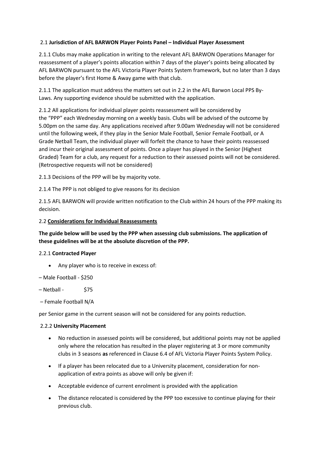# 2.1 **Jurisdiction of AFL BARWON Player Points Panel – Individual Player Assessment**

2.1.1 Clubs may make application in writing to the relevant AFL BARWON Operations Manager for reassessment of a player's points allocation within 7 days of the player's points being allocated by AFL BARWON pursuant to the AFL Victoria Player Points System framework, but no later than 3 days before the player's first Home & Away game with that club.

2.1.1 The application must address the matters set out in 2.2 in the AFL Barwon Local PPS By-Laws. Any supporting evidence should be submitted with the application.

2.1.2 All applications for individual player points reassessment will be considered by the "PPP" each Wednesday morning on a weekly basis. Clubs will be advised of the outcome by 5.00pm on the same day. Any applications received after 9.00am Wednesday will not be considered until the following week, if they play in the Senior Male Football, Senior Female Football, or A Grade Netball Team, the individual player will forfeit the chance to have their points reassessed and incur their original assessment of points. Once a player has played in the Senior (Highest Graded) Team for a club, any request for a reduction to their assessed points will not be considered. (Retrospective requests will not be considered)

2.1.3 Decisions of the PPP will be by majority vote.

2.1.4 The PPP is not obliged to give reasons for its decision

2.1.5 AFL BARWON will provide written notification to the Club within 24 hours of the PPP making its decision.

# 2.2 **Considerations for Individual Reassessments**

# **The guide below will be used by the PPP when assessing club submissions. The application of these guidelines will be at the absolute discretion of the PPP.**

# 2.2.1 **Contracted Player**

- Any player who is to receive in excess of:
- Male Football \$250
- Netball \$75
- Female Football N/A

per Senior game in the current season will not be considered for any points reduction.

#### 2.2.2 **University Placement**

- No reduction in assessed points will be considered, but additional points may not be applied only where the relocation has resulted in the player registering at 3 or more community clubs in 3 seasons **as** referenced in Clause 6.4 of AFL Victoria Player Points System Policy.
- If a player has been relocated due to a University placement, consideration for nonapplication of extra points as above will only be given if:
- Acceptable evidence of current enrolment is provided with the application
- The distance relocated is considered by the PPP too excessive to continue playing for their previous club.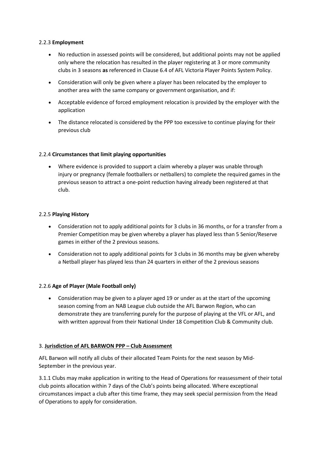# 2.2.3 **Employment**

- No reduction in assessed points will be considered, but additional points may not be applied only where the relocation has resulted in the player registering at 3 or more community clubs in 3 seasons **as** referenced in Clause 6.4 of AFL Victoria Player Points System Policy.
- Consideration will only be given where a player has been relocated by the employer to another area with the same company or government organisation, and if:
- Acceptable evidence of forced employment relocation is provided by the employer with the application
- The distance relocated is considered by the PPP too excessive to continue playing for their previous club

## 2.2.4 **Circumstances that limit playing opportunities**

• Where evidence is provided to support a claim whereby a player was unable through injury or pregnancy (female footballers or netballers) to complete the required games in the previous season to attract a one-point reduction having already been registered at that club.

## 2.2.5 **Playing History**

- Consideration not to apply additional points for 3 clubs in 36 months, or for a transfer from a Premier Competition may be given whereby a player has played less than 5 Senior/Reserve games in either of the 2 previous seasons.
- Consideration not to apply additional points for 3 clubs in 36 months may be given whereby a Netball player has played less than 24 quarters in either of the 2 previous seasons

# 2.2.6 **Age of Player (Male Football only)**

• Consideration may be given to a player aged 19 or under as at the start of the upcoming season coming from an NAB League club outside the AFL Barwon Region, who can demonstrate they are transferring purely for the purpose of playing at the VFL or AFL, and with written approval from their National Under 18 Competition Club & Community club.

#### 3. **Jurisdiction of AFL BARWON PPP – Club Assessment**

AFL Barwon will notify all clubs of their allocated Team Points for the next season by Mid-September in the previous year.

3.1.1 Clubs may make application in writing to the Head of Operations for reassessment of their total club points allocation within 7 days of the Club's points being allocated. Where exceptional circumstances impact a club after this time frame, they may seek special permission from the Head of Operations to apply for consideration.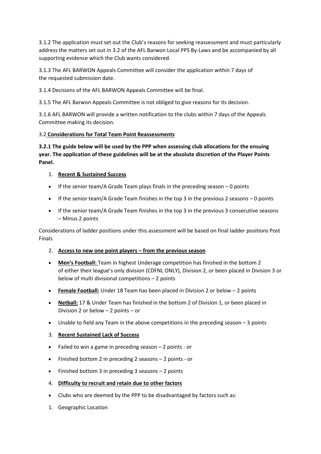3.1.2 The application must set out the Club's reasons for seeking reassessment and must particularly address the matters set out in 3.2 of the AFL Barwon Local PPS By-Laws and be accompanied by all supporting evidence which the Club wants considered.

3.1.3 The AFL BARWON Appeals Committee will consider the application within 7 days of the requested submission date.

3.1.4 Decisions of the AFL BARWON Appeals Committee will be final.

3.1.5 The AFL Barwon Appeals Committee is not obliged to give reasons for its decision.

3.1.6 AFL BARWON will provide a written notification to the clubs within 7 days of the Appeals Committee making its decision.

# 3.2 **Considerations for Total Team Point Reassessments**

**3.2.1 The guide below will be used by the PPP when assessing club allocations for the ensuing year. The application of these guidelines will be at the absolute discretion of the Player Points Panel.**

# 1. **Recent & Sustained Success**

- If the senior team/A Grade Team plays finals in the preceding season 0 points
- If the senior team/A Grade Team finishes in the top 3 in the previous 2 seasons 0 points
- If the senior team/A Grade Team finishes in the top 3 in the previous 3 consecutive seasons – Minus 2 points

Considerations of ladder positions under this assessment will be based on final ladder positions Post Finals

- 2. **Access to new one point players – from the previous season**
- **Men's Football:** Team in highest Underage competition has finished in the bottom 2 of either their league's only division (CDFNL ONLY), Division 2, or been placed in Division 3 or below of multi divisional competitions – 2 points
- **Female Football:** Under 18 Team has been placed in Division 2 or below 2 points
- **Netball:** 17 & Under Team has finished in the bottom 2 of Division 1, or been placed in Division 2 or below – 2 points – or
- Unable to field any Team in the above competitions in the preceding season 3 points

# 3. **Recent Sustained Lack of Success**

- Failed to win a game in preceding season 2 points or
- Finished bottom 2 in preceding 2 seasons 2 points or
- Finished bottom 3 in preceding 3 seasons 2 points
- 4. **Difficulty to recruit and retain due to other factors**
- Clubs who are deemed by the PPP to be disadvantaged by factors such as:
- 1. Geographic Location